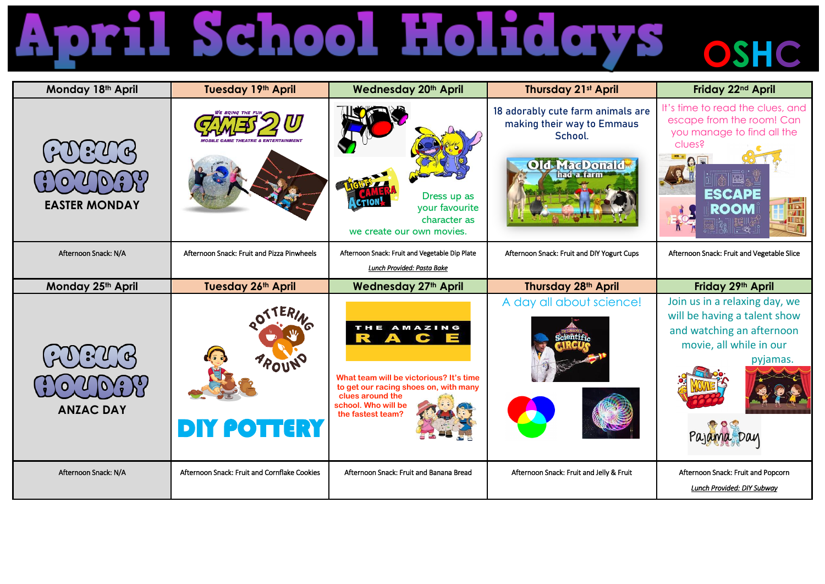## **April School Holidays osHc**

| Monday 18th April    | Tuesday 19th April                           | <b>Wednesday 20th April</b>                                                                                                                                                                   | <b>Thursday 21st April</b>                                                                         | Friday 22 <sup>nd</sup> April                                                                                                                          |
|----------------------|----------------------------------------------|-----------------------------------------------------------------------------------------------------------------------------------------------------------------------------------------------|----------------------------------------------------------------------------------------------------|--------------------------------------------------------------------------------------------------------------------------------------------------------|
| <b>EASTER MONDAY</b> |                                              | Dress up as<br>your favourite<br>character as<br>we create our own movies.                                                                                                                    | 18 adorably cute farm animals are<br>making their way to Emmaus<br>School.<br><b>Old MacDonald</b> | It's time to read the clues, and<br>escape from the room! Can<br>you manage to find all the<br>clues?<br><b>ESCAPE</b><br>$\frac{1}{\sqrt{2}}$<br>ROOM |
| Afternoon Snack: N/A | Afternoon Snack: Fruit and Pizza Pinwheels   | Afternoon Snack: Fruit and Vegetable Dip Plate<br>Lunch Provided: Pasta Bake                                                                                                                  | Afternoon Snack: Fruit and DIY Yogurt Cups                                                         | Afternoon Snack: Fruit and Vegetable Slice                                                                                                             |
| Monday 25th April    | Tuesday 26th April                           | <b>Wednesday 27th April</b>                                                                                                                                                                   | Thursday 28 <sup>th</sup> April                                                                    | Friday 29th April                                                                                                                                      |
| <b>ANZAC DAY</b>     | POUN<br><b>DIY POTTERY</b>                   | THE AMAZING<br>R<br>A<br>$\mathbf C$<br>Ħ<br>What team will be victorious? It's time<br>to get our racing shoes on, with many<br>clues around the<br>school. Who will be<br>the fastest team? | A day all about science!                                                                           | Join us in a relaxing day, we<br>will be having a talent show<br>and watching an afternoon<br>movie, all while in our<br>pyjamas.                      |
| Afternoon Snack: N/A | Afternoon Snack: Fruit and Cornflake Cookies | Afternoon Snack: Fruit and Banana Bread                                                                                                                                                       | Afternoon Snack: Fruit and Jelly & Fruit                                                           | Afternoon Snack: Fruit and Popcorn<br>Lunch Provided: DIY Subway                                                                                       |